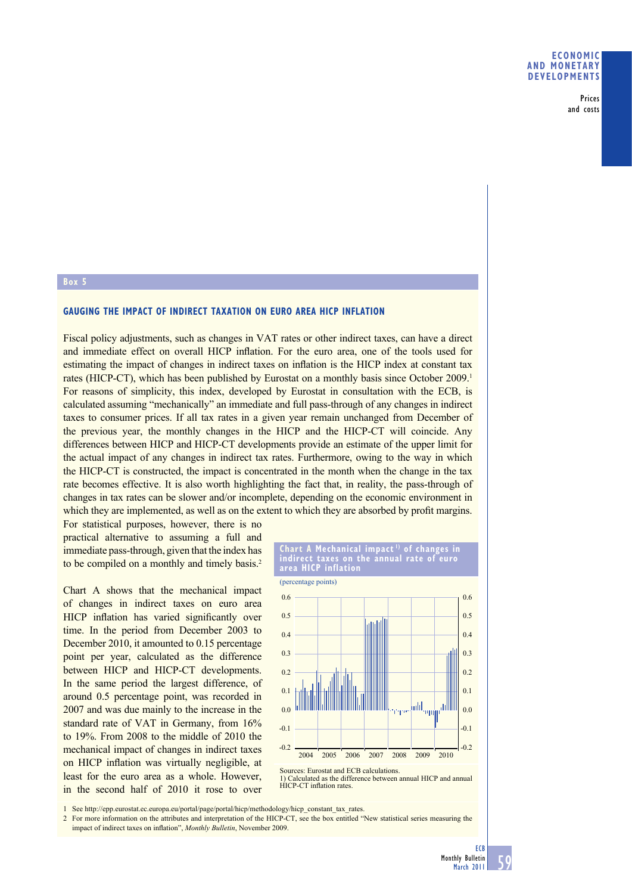Prices and costs

## **Box 5**

## **GAUGING THE IMPACT OF INDIRECT TAXATION ON EURO AREA HICP INFLATION**

Fiscal policy adjustments, such as changes in VAT rates or other indirect taxes, can have a direct and immediate effect on overall HICP inflation. For the euro area, one of the tools used for estimating the impact of changes in indirect taxes on inflation is the HICP index at constant tax rates (HICP-CT), which has been published by Eurostat on a monthly basis since October 2009.<sup>1</sup> For reasons of simplicity, this index, developed by Eurostat in consultation with the ECB, is calculated assuming "mechanically" an immediate and full pass-through of any changes in indirect taxes to consumer prices. If all tax rates in a given year remain unchanged from December of the previous year, the monthly changes in the HICP and the HICP-CT will coincide. Any differences between HICP and HICP-CT developments provide an estimate of the upper limit for the actual impact of any changes in indirect tax rates. Furthermore, owing to the way in which the HICP-CT is constructed, the impact is concentrated in the month when the change in the tax rate becomes effective. It is also worth highlighting the fact that, in reality, the pass-through of changes in tax rates can be slower and/or incomplete, depending on the economic environment in which they are implemented, as well as on the extent to which they are absorbed by profit margins.

For statistical purposes, however, there is no practical alternative to assuming a full and immediate pass-through, given that the index has to be compiled on a monthly and timely basis.<sup>2</sup>

Chart A shows that the mechanical impact of changes in indirect taxes on euro area HICP inflation has varied significantly over time. In the period from December 2003 to December 2010, it amounted to 0.15 percentage point per year, calculated as the difference between HICP and HICP-CT developments. In the same period the largest difference, of around 0.5 percentage point, was recorded in 2007 and was due mainly to the increase in the standard rate of VAT in Germany, from 16% to 19%. From 2008 to the middle of 2010 the mechanical impact of changes in indirect taxes on HICP inflation was virtually negligible, at least for the euro area as a whole. However, in the second half of 2010 it rose to over



1) Calculated as the difference between annual HICP and annual HICP-CT inflation rates.

1 See http://epp.eurostat.ec.europa.eu/portal/page/portal/hicp/methodology/hicp\_constant\_tax\_rates.

2 For more information on the attributes and interpretation of the HICP-CT, see the box entitled "New statistical series measuring the impact of indirect taxes on inflation", *Monthly Bulletin*, November 2009.